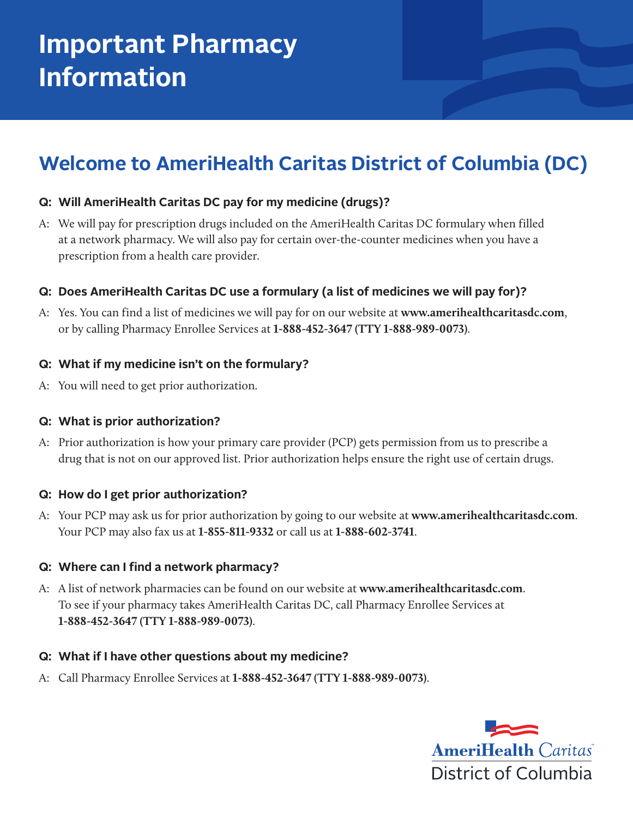# **Important Pharmacy Information**

## **Welcome to AmeriHealth Caritas District of Columbia (DC)**

#### **Q: Will AmeriHealth Caritas DC pay for my medicine (drugs)?**

A: We will pay for prescription drugs included on the AmeriHealth Caritas DC formulary when filled at a network pharmacy. We will also pay for certain over-the-counter medicines when you have a prescription from a health care provider.

#### **Q: Does AmeriHealth Caritas DC use a formulary (a list of medicines we will pay for)?**

A: Yes. You can find a list of medicines we will pay for on our website at **www.amerihealthcaritasdc.com**, or by calling Pharmacy Enrollee Services at **1-888-452-3647 (TTY 1-888-989-0073)**.

#### **Q: What if my medicine isn't on the formulary?**

A: You will need to get prior authorization.

#### **Q: What is prior authorization?**

A: Prior authorization is how your primary care provider (PCP) gets permission from us to prescribe a drug that is not on our approved list. Prior authorization helps ensure the right use of certain drugs.

#### **Q: How do I get prior authorization?**

A: Your PCP may ask us for prior authorization by going to our website at **www.amerihealthcaritasdc.com**. Your PCP may also fax us at **1-855-811-9332** or call us at **1-888-602-3741**.

#### **Q: Where can I find a network pharmacy?**

A: A list of network pharmacies can be found on our website at **www.amerihealthcaritasdc.com**. To see if your pharmacy takes AmeriHealth Caritas DC, call Pharmacy Enrollee Services at **1-888-452-3647 (TTY 1-888-989-0073)**.

#### **Q: What if I have other questions about my medicine?**

A: Call Pharmacy Enrollee Services at **1-888-452-3647 (TTY 1-888-989-0073)**.